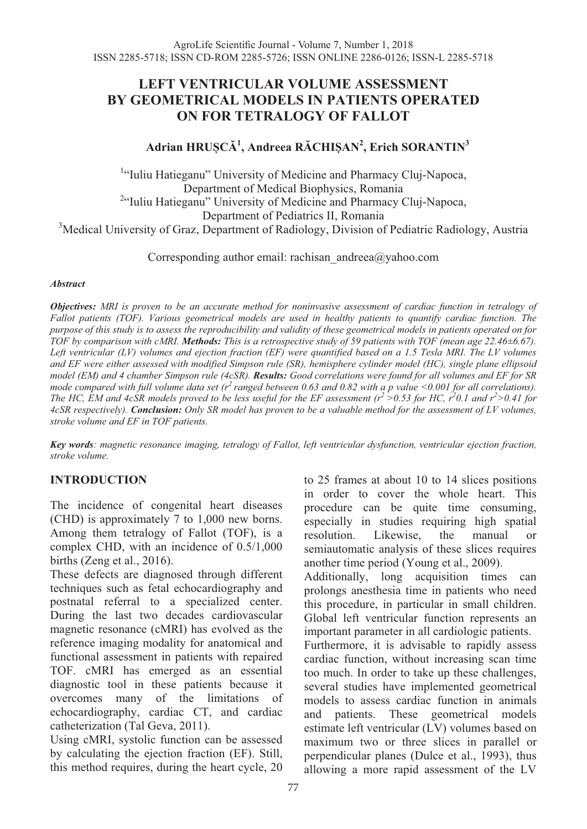# **LEFT VENTRICULAR VOLUME ASSESSMENT BY GEOMETRICAL MODELS IN PATIENTS OPERATED ON FOR TETRALOGY OF FALLOT**

# **Adrian HRUȘCĂ<sup>1</sup> , Andreea RĂCHIŞAN<sup>2</sup> , Erich SORANTIN3**

<sup>1</sup>"Iuliu Hatieganu" University of Medicine and Pharmacy Cluj-Napoca, Department of Medical Biophysics, Romania <sup>2</sup>"Iuliu Hatieganu" University of Medicine and Pharmacy Cluj-Napoca, Department of Pediatrics II, Romania <sup>3</sup>Medical University of Graz, Department of Radiology, Division of Pediatric Radiology, Austria

Corresponding author email: rachisan\_andreea@yahoo.com

#### *Abstract*

*Objectives: MRI is proven to be an accurate method for noninvasive assessment of cardiac function in tetralogy of Fallot patients (TOF). Various geometrical models are used in healthy patients to quantify cardiac function. The purpose of this study is to assess the reproducibility and validity of these geometrical models in patients operated on for TOF by comparison with cMRI. Methods: This is a retrospective study of 59 patients with TOF (mean age 22.46±6.67).*  Left ventricular (LV) volumes and ejection fraction (EF) were quantified based on a 1.5 Tesla MRI. The LV volumes *and EF were either assessed with modified Simpson rule (SR), hemisphere cylinder model (HC), single plane ellipsoid model (EM) and 4 chamber Simpson rule (4cSR). Results: Good correlations were found for all volumes and EF for SR mode compared with full volume data set (r2 ranged between 0.63 and 0.82 with a p value <0.001 for all correlations). The HC, EM and 4cSR models proved to be less useful for the EF assessment (* $r^2 > 0.53$  *for HC,*  $r^20.1$  *and*  $r^2 > 0.41$  *for 4cSR respectively). Conclusion: Only SR model has proven to be a valuable method for the assessment of LV volumes, stroke volume and EF in TOF patients.* 

*Key words: magnetic resonance imaging, tetralogy of Fallot, left ventricular dysfunction, ventricular ejection fraction, stroke volume.*

## **INTRODUCTION**

The incidence of congenital heart diseases (CHD) is approximately 7 to 1,000 new borns. Among them tetralogy of Fallot (TOF), is a complex CHD, with an incidence of 0.5/1,000 births (Zeng et al., 2016).

These defects are diagnosed through different techniques such as fetal echocardiography and postnatal referral to a specialized center. During the last two decades cardiovascular magnetic resonance (cMRI) has evolved as the reference imaging modality for anatomical and functional assessment in patients with repaired TOF. cMRI has emerged as an essential diagnostic tool in these patients because it overcomes many of the limitations of echocardiography, cardiac CT, and cardiac catheterization (Tal Geva, 2011).

Using cMRI, systolic function can be assessed by calculating the ejection fraction (EF). Still, this method requires, during the heart cycle, 20

to 25 frames at about 10 to 14 slices positions in order to cover the whole heart. This procedure can be quite time consuming, especially in studies requiring high spatial resolution. Likewise, the manual or semiautomatic analysis of these slices requires another time period (Young et al., 2009).

Additionally, long acquisition times can prolongs anesthesia time in patients who need this procedure, in particular in small children. Global left ventricular function represents an important parameter in all cardiologic patients.

Furthermore, it is advisable to rapidly assess cardiac function, without increasing scan time too much. In order to take up these challenges, several studies have implemented geometrical models to assess cardiac function in animals and patients. These geometrical models estimate left ventricular (LV) volumes based on maximum two or three slices in parallel or perpendicular planes (Dulce et al., 1993), thus allowing a more rapid assessment of the LV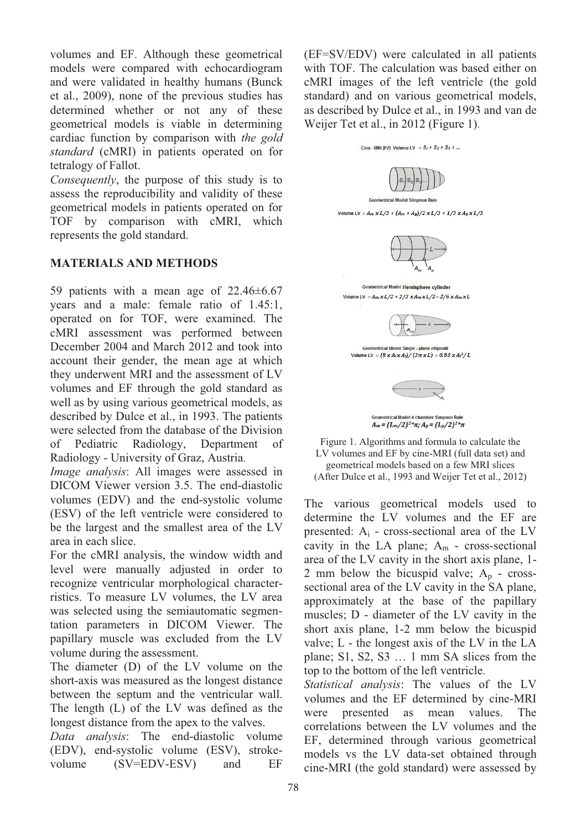volumes and EF. Although these geometrical models were compared with echocardiogram and were validated in healthy humans (Bunck et al., 2009), none of the previous studies has determined whether or not any of these geometrical models is viable in determining cardiac function by comparison with *the gold standard* (cMRI) in patients operated on for tetralogy of Fallot.

*Consequently*, the purpose of this study is to assess the reproducibility and validity of these geometrical models in patients operated on for TOF by comparison with cMRI, which represents the gold standard.

## **MATERIALS AND METHODS**

59 patients with a mean age of 22.46±6.67 years and a male: female ratio of 1.45:1, operated on for TOF, were examined. The cMRI assessment was performed between December 2004 and March 2012 and took into account their gender, the mean age at which they underwent MRI and the assessment of LV volumes and EF through the gold standard as well as by using various geometrical models, as described by Dulce et al., in 1993. The patients were selected from the database of the Division of Pediatric Radiology, Department of Radiology - University of Graz, Austria.

*Image analysis*: All images were assessed in DICOM Viewer version 3.5. The end-diastolic volumes (EDV) and the end-systolic volume (ESV) of the left ventricle were considered to be the largest and the smallest area of the LV area in each slice.

For the cMRI analysis, the window width and level were manually adjusted in order to recognize ventricular morphological characterristics. To measure LV volumes, the LV area was selected using the semiautomatic segmentation parameters in DICOM Viewer. The papillary muscle was excluded from the LV volume during the assessment.

The diameter (D) of the LV volume on the short-axis was measured as the longest distance between the septum and the ventricular wall. The length (L) of the LV was defined as the longest distance from the apex to the valves.

*Data analysis*: The end-diastolic volume (EDV), end-systolic volume (ESV), strokevolume (SV=EDV-ESV) and EF

(EF=SV/EDV) were calculated in all patients with TOF. The calculation was based either on cMRI images of the left ventricle (the gold standard) and on various geometrical models, as described by Dulce et al., in 1993 and van de Weijer Tet et al., in 2012 (Figure 1).





The various geometrical models used to determine the LV volumes and the EF are presented:  $A_i$  - cross-sectional area of the LV cavity in the LA plane;  $A_m$  - cross-sectional area of the LV cavity in the short axis plane, 1- 2 mm below the bicuspid valve;  $A_p$  - crosssectional area of the LV cavity in the SA plane, approximately at the base of the papillary muscles; D - diameter of the LV cavity in the short axis plane, 1-2 mm below the bicuspid valve; L - the longest axis of the LV in the LA plane; S1, S2, S3 … 1 mm SA slices from the top to the bottom of the left ventricle.

*Statistical analysis*: The values of the LV volumes and the EF determined by cine-MRI were presented as mean values. The correlations between the LV volumes and the EF, determined through various geometrical models vs the LV data-set obtained through cine-MRI (the gold standard) were assessed by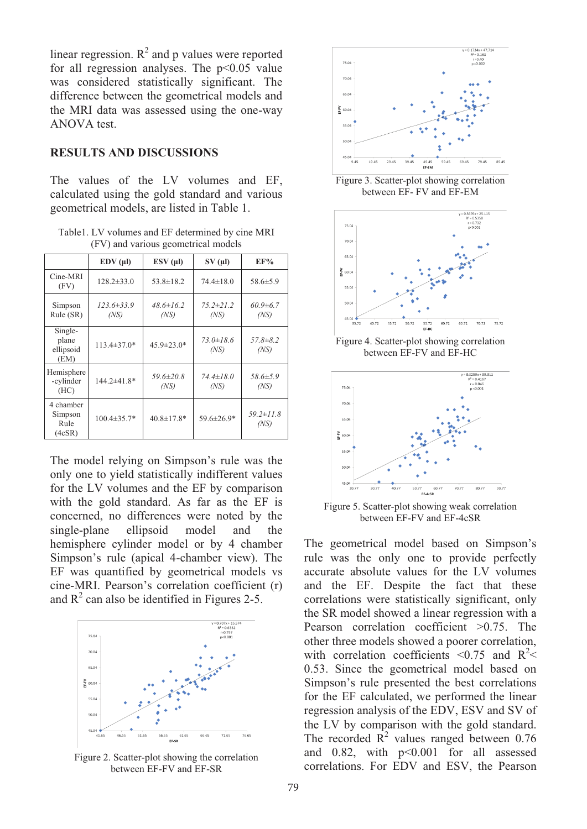linear regression.  $R^2$  and p values were reported for all regression analyses. The  $p<0.05$  value was considered statistically significant. The difference between the geometrical models and the MRI data was assessed using the one-way ANOVA test.

#### **RESULTS AND DISCUSSIONS**

The values of the LV volumes and EF, calculated using the gold standard and various geometrical models, are listed in Table 1.

Table1. LV volumes and EF determined by cine MRI (FV) and various geometrical models

|                                        | $EDV(\mu I)$       | $ESV(\mu I)$            | $SV( \mu l)$            | EF%                     |
|----------------------------------------|--------------------|-------------------------|-------------------------|-------------------------|
| Cine-MRI<br>(FV)                       | $128.2 \pm 33.0$   | $53.8 \pm 18.2$         | $74.4 \pm 18.0$         | $58.6 \pm 5.9$          |
| Simpson<br>Rule (SR)                   | 123.6±33.9<br>(NS) | $48.6 \pm 16.2$<br>(NS) | $75.2 \pm 21.2$<br>(NS) | $60.9 \pm 6.7$<br>(NS)  |
| Single-<br>plane<br>ellipsoid<br>(EM)  | $113.4 \pm 37.0*$  | $45.9 \pm 23.0*$        | $73.0 \pm 18.6$<br>(NS) | $57.8 \pm 8.2$<br>(NS)  |
| Hemisphere<br>-cylinder<br>(HC)        | 144.2±41.8*        | $59.6 \pm 20.8$<br>(NS) | $74.4 \pm 18.0$<br>(NS) | $58.6 \pm 5.9$<br>(NS)  |
| 4 chamber<br>Simpson<br>Rule<br>(4cSR) | $100.4 \pm 35.7*$  | $40.8 \pm 17.8*$        | 59.6±26.9*              | $59.2 \pm 11.8$<br>(NS) |

The model relying on Simpson's rule was the only one to yield statistically indifferent values for the LV volumes and the EF by comparison with the gold standard. As far as the EF is concerned, no differences were noted by the single-plane ellipsoid model and the hemisphere cylinder model or by 4 chamber Simpson's rule (apical 4-chamber view). The EF was quantified by geometrical models vs cine-MRI. Pearson's correlation coefficient (r) and  $R^2$  can also be identified in Figures 2-5.



Figure 2. Scatter-plot showing the correlation between EF-FV and EF-SR





Figure 4. Scatter-plot showing correlation between EF-FV and EF-HC



Figure 5. Scatter-plot showing weak correlation between EF-FV and EF-4cSR

The geometrical model based on Simpson's rule was the only one to provide perfectly accurate absolute values for the LV volumes and the EF. Despite the fact that these correlations were statistically significant, only the SR model showed a linear regression with a Pearson correlation coefficient >0.75. The other three models showed a poorer correlation, with correlation coefficients <0.75 and  $R^2$  < 0.53. Since the geometrical model based on Simpson's rule presented the best correlations for the EF calculated, we performed the linear regression analysis of the EDV, ESV and SV of the LV by comparison with the gold standard. The recorded  $\overline{R}^2$  values ranged between 0.76 and  $0.82$ , with  $p<0.001$  for all assessed correlations. For EDV and ESV, the Pearson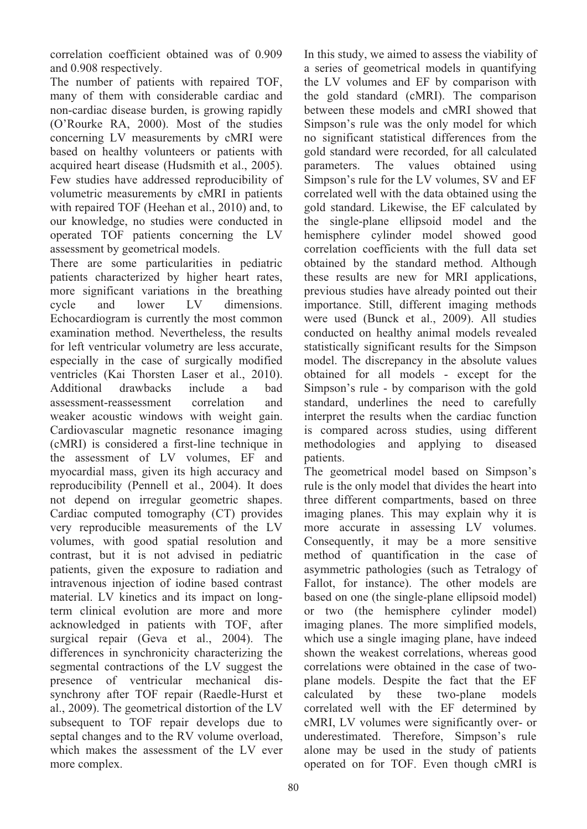correlation coefficient obtained was of 0.909 and 0.908 respectively.

The number of patients with repaired TOF, many of them with considerable cardiac and non-cardiac disease burden, is growing rapidly (O'Rourke RA, 2000). Most of the studies concerning LV measurements by cMRI were based on healthy volunteers or patients with acquired heart disease (Hudsmith et al., 2005). Few studies have addressed reproducibility of volumetric measurements by cMRI in patients with repaired TOF (Heehan et al., 2010) and, to our knowledge, no studies were conducted in operated TOF patients concerning the LV assessment by geometrical models.

There are some particularities in pediatric patients characterized by higher heart rates, more significant variations in the breathing cycle and lower LV dimensions. Echocardiogram is currently the most common examination method. Nevertheless, the results for left ventricular volumetry are less accurate, especially in the case of surgically modified ventricles (Kai Thorsten Laser et al., 2010).<br>Additional drawbacks include a bad Additional drawbacks include a assessment-reassessment correlation and weaker acoustic windows with weight gain. Cardiovascular magnetic resonance imaging (cMRI) is considered a first-line technique in the assessment of LV volumes, EF and myocardial mass, given its high accuracy and reproducibility (Pennell et al., 2004). It does not depend on irregular geometric shapes. Cardiac computed tomography (CT) provides very reproducible measurements of the LV volumes, with good spatial resolution and contrast, but it is not advised in pediatric patients, given the exposure to radiation and intravenous injection of iodine based contrast material. LV kinetics and its impact on longterm clinical evolution are more and more acknowledged in patients with TOF, after surgical repair (Geva et al., 2004). The differences in synchronicity characterizing the segmental contractions of the LV suggest the presence of ventricular mechanical dissynchrony after TOF repair (Raedle-Hurst et al., 2009). The geometrical distortion of the LV subsequent to TOF repair develops due to septal changes and to the RV volume overload, which makes the assessment of the LV ever more complex.

In this study, we aimed to assess the viability of a series of geometrical models in quantifying the LV volumes and EF by comparison with the gold standard (cMRI). The comparison between these models and cMRI showed that Simpson's rule was the only model for which no significant statistical differences from the gold standard were recorded, for all calculated parameters. The values obtained using Simpson's rule for the LV volumes, SV and EF correlated well with the data obtained using the gold standard. Likewise, the EF calculated by the single-plane ellipsoid model and the hemisphere cylinder model showed good correlation coefficients with the full data set obtained by the standard method. Although these results are new for MRI applications, previous studies have already pointed out their importance. Still, different imaging methods were used (Bunck et al., 2009). All studies conducted on healthy animal models revealed statistically significant results for the Simpson model. The discrepancy in the absolute values obtained for all models - except for the Simpson's rule - by comparison with the gold standard, underlines the need to carefully interpret the results when the cardiac function is compared across studies, using different methodologies and applying to diseased patients.

The geometrical model based on Simpson's rule is the only model that divides the heart into three different compartments, based on three imaging planes. This may explain why it is more accurate in assessing LV volumes. Consequently, it may be a more sensitive method of quantification in the case of asymmetric pathologies (such as Tetralogy of Fallot, for instance). The other models are based on one (the single-plane ellipsoid model) or two (the hemisphere cylinder model) imaging planes. The more simplified models, which use a single imaging plane, have indeed shown the weakest correlations, whereas good correlations were obtained in the case of twoplane models. Despite the fact that the EF calculated by these two-plane models correlated well with the EF determined by cMRI, LV volumes were significantly over- or underestimated. Therefore, Simpson's rule alone may be used in the study of patients operated on for TOF. Even though cMRI is